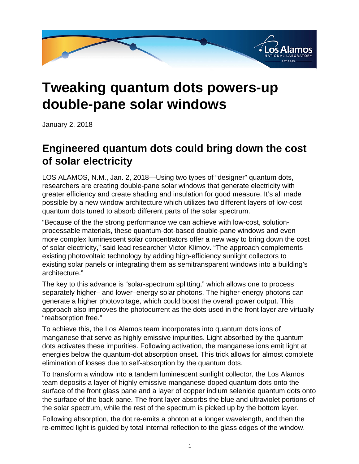

## **Tweaking quantum dots powers-up double-pane solar windows**

January 2, 2018

## **Engineered quantum dots could bring down the cost of solar electricity**

LOS ALAMOS, N.M., Jan. 2, 2018—Using two types of "designer" quantum dots, researchers are creating double-pane solar windows that generate electricity with greater efficiency and create shading and insulation for good measure. It's all made possible by a new window architecture which utilizes two different layers of low-cost quantum dots tuned to absorb different parts of the solar spectrum.

"Because of the the strong performance we can achieve with low-cost, solutionprocessable materials, these quantum-dot-based double-pane windows and even more complex luminescent solar concentrators offer a new way to bring down the cost of solar electricity," said lead researcher Victor Klimov. "The approach complements existing photovoltaic technology by adding high-efficiency sunlight collectors to existing solar panels or integrating them as semitransparent windows into a building's architecture."

The key to this advance is "solar-spectrum splitting," which allows one to process separately higher– and lower–energy solar photons. The higher-energy photons can generate a higher photovoltage, which could boost the overall power output. This approach also improves the photocurrent as the dots used in the front layer are virtually "reabsorption free."

To achieve this, the Los Alamos team incorporates into quantum dots ions of manganese that serve as highly emissive impurities. Light absorbed by the quantum dots activates these impurities. Following activation, the manganese ions emit light at energies below the quantum-dot absorption onset. This trick allows for almost complete elimination of losses due to self-absorption by the quantum dots.

To transform a window into a tandem luminescent sunlight collector, the Los Alamos team deposits a layer of highly emissive manganese-doped quantum dots onto the surface of the front glass pane and a layer of copper indium selenide quantum dots onto the surface of the back pane. The front layer absorbs the blue and ultraviolet portions of the solar spectrum, while the rest of the spectrum is picked up by the bottom layer.

Following absorption, the dot re-emits a photon at a longer wavelength, and then the re-emitted light is guided by total internal reflection to the glass edges of the window.